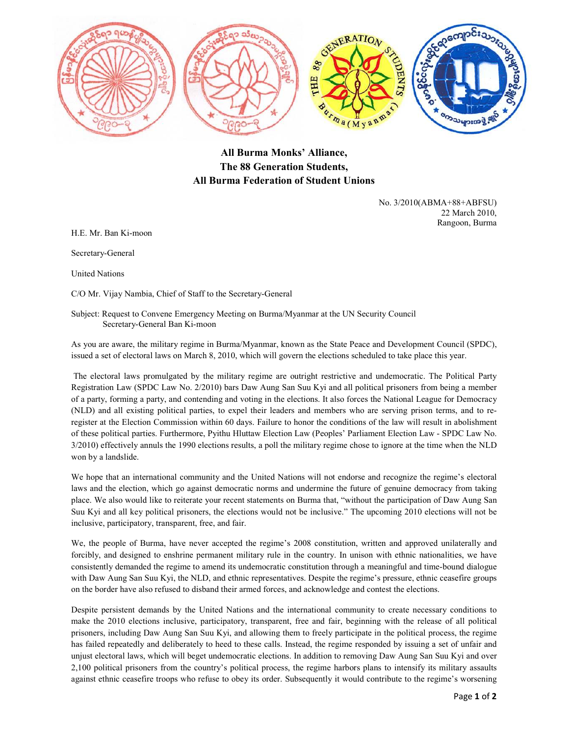

## **All Burma Monks' Alliance, The 88 Generation Students, All Burma Federation of Student Unions**

No. 3/2010(ABMA+88+ABFSU) 22 March 2010, Rangoon, Burma

H.E. Mr. Ban Ki-moon

Secretary-General

United Nations

C/O Mr. Vijay Nambia, Chief of Staff to the Secretary-General

Subject: Request to Convene Emergency Meeting on Burma/Myanmar at the UN Security Council Secretary-General Ban Ki-moon

As you are aware, the military regime in Burma/Myanmar, known as the State Peace and Development Council (SPDC), issued a set of electoral laws on March 8, 2010, which will govern the elections scheduled to take place this year.

 The electoral laws promulgated by the military regime are outright restrictive and undemocratic. The Political Party Registration Law (SPDC Law No. 2/2010) bars Daw Aung San Suu Kyi and all political prisoners from being a member of a party, forming a party, and contending and voting in the elections. It also forces the National League for Democracy (NLD) and all existing political parties, to expel their leaders and members who are serving prison terms, and to reregister at the Election Commission within 60 days. Failure to honor the conditions of the law will result in abolishment of these political parties. Furthermore, Pyithu Hluttaw Election Law (Peoples' Parliament Election Law - SPDC Law No. 3/2010) effectively annuls the 1990 elections results, a poll the military regime chose to ignore at the time when the NLD won by a landslide.

We hope that an international community and the United Nations will not endorse and recognize the regime's electoral laws and the election, which go against democratic norms and undermine the future of genuine democracy from taking place. We also would like to reiterate your recent statements on Burma that, "without the participation of Daw Aung San Suu Kyi and all key political prisoners, the elections would not be inclusive." The upcoming 2010 elections will not be inclusive, participatory, transparent, free, and fair.

We, the people of Burma, have never accepted the regime's 2008 constitution, written and approved unilaterally and forcibly, and designed to enshrine permanent military rule in the country. In unison with ethnic nationalities, we have consistently demanded the regime to amend its undemocratic constitution through a meaningful and time-bound dialogue with Daw Aung San Suu Kyi, the NLD, and ethnic representatives. Despite the regime's pressure, ethnic ceasefire groups on the border have also refused to disband their armed forces, and acknowledge and contest the elections.

Despite persistent demands by the United Nations and the international community to create necessary conditions to make the 2010 elections inclusive, participatory, transparent, free and fair, beginning with the release of all political prisoners, including Daw Aung San Suu Kyi, and allowing them to freely participate in the political process, the regime has failed repeatedly and deliberately to heed to these calls. Instead, the regime responded by issuing a set of unfair and unjust electoral laws, which will beget undemocratic elections. In addition to removing Daw Aung San Suu Kyi and over 2,100 political prisoners from the country's political process, the regime harbors plans to intensify its military assaults against ethnic ceasefire troops who refuse to obey its order. Subsequently it would contribute to the regime's worsening